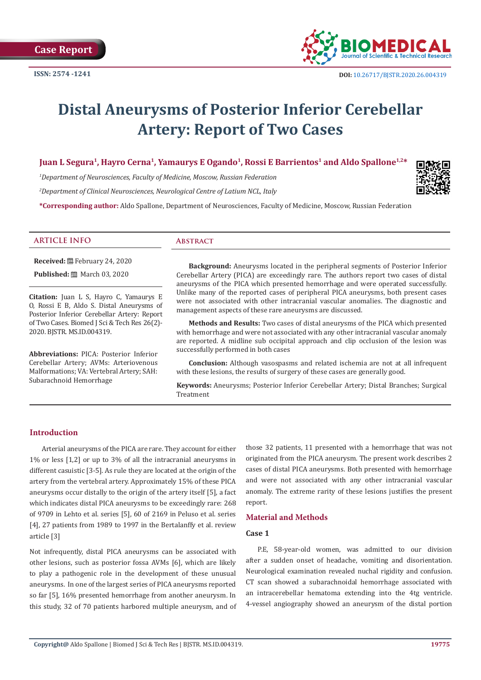

# **Distal Aneurysms of Posterior Inferior Cerebellar Artery: Report of Two Cases**

# Juan L Segura<sup>1</sup>, Hayro Cerna<sup>1</sup>, Yamaurys E Ogando<sup>1</sup>, Rossi E Barrientos<sup>1</sup> and Aldo Spallone<sup>1,2\*</sup>

*1 Department of Neurosciences, Faculty of Medicine, Moscow, Russian Federation*

*2 Department of Clinical Neurosciences, Neurological Centre of Latium NCL, Italy*

**\*Corresponding author:** Aldo Spallone, Department of Neurosciences, Faculty of Medicine, Moscow, Russian Federation

# **ARTICLE INFO Abstract**

**Received:** February 24, 2020

**Published:** ■ March 03, 2020

**Citation:** Juan L S, Hayro C, Yamaurys E O, Rossi E B, Aldo S. Distal Aneurysms of Posterior Inferior Cerebellar Artery: Report of Two Cases. Biomed J Sci & Tech Res 26(2)-2020. BJSTR. MS.ID.004319.

**Abbreviations:** PICA: Posterior Inferior Cerebellar Artery; AVMs: Arteriovenous Malformations; VA: Vertebral Artery; SAH: Subarachnoid Hemorrhage

**Background:** Aneurysms located in the peripheral segments of Posterior Inferior Cerebellar Artery (PICA) are exceedingly rare. The authors report two cases of distal aneurysms of the PICA which presented hemorrhage and were operated successfully. Unlike many of the reported cases of peripheral PICA aneurysms, both present cases were not associated with other intracranial vascular anomalies. The diagnostic and management aspects of these rare aneurysms are discussed.

**Methods and Results:** Two cases of distal aneurysms of the PICA which presented with hemorrhage and were not associated with any other intracranial vascular anomaly are reported. A midline sub occipital approach and clip occlusion of the lesion was successfully performed in both cases

**Conclusion:** Although vasospasms and related ischemia are not at all infrequent with these lesions, the results of surgery of these cases are generally good.

**Keywords:** Aneurysms; Posterior Inferior Cerebellar Artery; Distal Branches; Surgical Treatment

# **Introduction**

Arterial aneurysms of the PICA are rare. They account for either 1% or less [1,2] or up to 3% of all the intracranial aneurysms in different casuistic [3-5]. As rule they are located at the origin of the artery from the vertebral artery. Approximately 15% of these PICA aneurysms occur distally to the origin of the artery itself [5], a fact which indicates distal PICA aneurysms to be exceedingly rare: 268 of 9709 in Lehto et al. series [5], 60 of 2169 in Peluso et al. series [4], 27 patients from 1989 to 1997 in the Bertalanffy et al. review article [3]

Not infrequently, distal PICA aneurysms can be associated with other lesions, such as posterior fossa AVMs [6], which are likely to play a pathogenic role in the development of these unusual aneurysms. In one of the largest series of PICA aneurysms reported so far [5], 16% presented hemorrhage from another aneurysm. In this study, 32 of 70 patients harbored multiple aneurysm, and of those 32 patients, 11 presented with a hemorrhage that was not originated from the PICA aneurysm. The present work describes 2 cases of distal PICA aneurysms. Both presented with hemorrhage and were not associated with any other intracranial vascular anomaly. The extreme rarity of these lesions justifies the present report.

# **Material and Methods**

#### **Case 1**

P.E, 58-year-old women, was admitted to our division after a sudden onset of headache, vomiting and disorientation. Neurological examination revealed nuchal rigidity and confusion. CT scan showed a subarachnoidal hemorrhage associated with an intracerebellar hematoma extending into the 4tg ventricle. 4-vessel angiography showed an aneurysm of the distal portion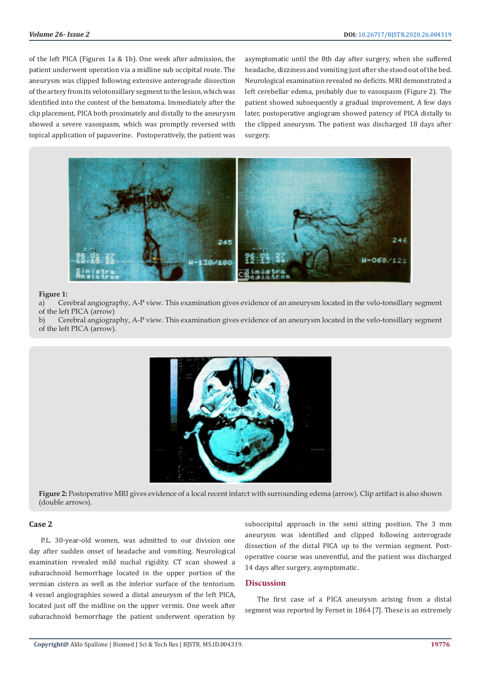of the left PICA (Figures 1a & 1b). One week after admission, the patient underwent operation via a midline sub occipital route. The aneurysm was clipped following extensive anterograde dissection of the artery from its velotonsillary segment to the lesion, which was identified into the contest of the hematoma. Immediately after the clip placement, PICA both proximately and distally to the aneurysm showed a severe vasospasm, which was promptly reversed with topical application of papaverine. Postoperatively, the patient was

asymptomatic until the 8th day after surgery, when she suffered headache, dizziness and vomiting just after she stood out of the bed. Neurological examination revealed no deficits. MRI demonstrated a left cerebellar edema, probably due to vasospasm (Figure 2). The patient showed subsequently a gradual improvement. A few days later, postoperative angiogram showed patency of PICA distally to the clipped aneurysm. The patient was discharged 18 days after surgery.



#### **Figure 1:**

a) Cerebral angiography, A-P view. This examination gives evidence of an aneurysm located in the velo-tonsillary segment of the left PICA (arrow)

b) Cerebral angiography, A-P view. This examination gives evidence of an aneurysm located in the velo-tonsillary segment of the left PICA (arrow).



**Figure 2:** Postoperative MRI gives evidence of a local recent infarct with surrounding edema (arrow). Clip artifact is also shown (double arrows).

### **Case 2**

P.L. 30-year-old women, was admitted to our division one day after sudden onset of headache and vomiting. Neurological examination revealed mild nuchal rigidity. CT scan showed a subarachnoid hemorrhage located in the upper portion of the vermian cistern as well as the inferior surface of the tentorium. 4 vessel angiographies sowed a distal aneurysm of the left PICA, located just off the midline on the upper vermis. One week after subarachnoid hemorrhage the patient underwent operation by

suboccipital approach in the semi sitting position. The 3 mm aneurysm was identified and clipped following anterograde dissection of the distal PICA up to the vermian segment. Postoperative course was uneventful, and the patient was discharged 14 days after surgery, asymptomatic.

# **Discussion**

The first case of a PICA aneurysm arising from a distal segment was reported by Fernet in 1864 [7]. These is an extremely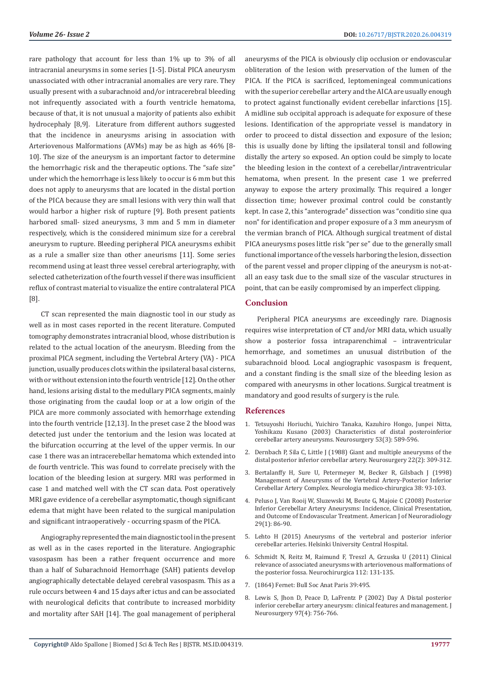rare pathology that account for less than 1% up to 3% of all intracranial aneurysms in some series [1-5]. Distal PICA aneurysm unassociated with other intracranial anomalies are very rare. They usually present with a subarachnoid and/or intracerebral bleeding not infrequently associated with a fourth ventricle hematoma, because of that, it is not unusual a majority of patients also exhibit hydrocephaly [8,9]. Literature from different authors suggested that the incidence in aneurysms arising in association with Arteriovenous Malformations (AVMs) may be as high as 46% [8- 10]. The size of the aneurysm is an important factor to determine the hemorrhagic risk and the therapeutic options. The "safe size" under which the hemorrhage is less likely to occur is 6 mm but this does not apply to aneurysms that are located in the distal portion of the PICA because they are small lesions with very thin wall that would harbor a higher risk of rupture [9]. Both present patients harbored small- sized aneurysms, 3 mm and 5 mm in diameter respectively, which is the considered minimum size for a cerebral aneurysm to rupture. Bleeding peripheral PICA aneurysms exhibit as a rule a smaller size than other aneurisms [11]. Some series recommend using at least three vessel cerebral arteriography, with selected catheterization of the fourth vessel if there was insufficient reflux of contrast material to visualize the entire contralateral PICA [8].

CT scan represented the main diagnostic tool in our study as well as in most cases reported in the recent literature. Computed tomography demonstrates intracranial blood, whose distribution is related to the actual location of the aneurysm. Bleeding from the proximal PICA segment, including the Vertebral Artery (VA) - PICA junction, usually produces clots within the ipsilateral basal cisterns, with or without extension into the fourth ventricle [12]. On the other hand, lesions arising distal to the medullary PICA segments, mainly those originating from the caudal loop or at a low origin of the PICA are more commonly associated with hemorrhage extending into the fourth ventricle [12,13]. In the preset case 2 the blood was detected just under the tentorium and the lesion was located at the bifurcation occurring at the level of the upper vermis. In our case 1 there was an intracerebellar hematoma which extended into de fourth ventricle. This was found to correlate precisely with the location of the bleeding lesion at surgery. MRI was performed in case 1 and matched well with the CT scan data. Post operatively MRI gave evidence of a cerebellar asymptomatic, though significant edema that might have been related to the surgical manipulation and significant intraoperatively - occurring spasm of the PICA.

Angiography represented the main diagnostic tool in the present as well as in the cases reported in the literature. Angiographic vasospasm has been a rather frequent occurrence and more than a half of Subarachnoid Hemorrhage (SAH) patients develop angiographically detectable delayed cerebral vasospasm. This as a rule occurs between 4 and 15 days after ictus and can be associated with neurological deficits that contribute to increased morbidity and mortality after SAH [14]. The goal management of peripheral

aneurysms of the PICA is obviously clip occlusion or endovascular obliteration of the lesion with preservation of the lumen of the PICA. If the PICA is sacrificed, leptomeningeal communications with the superior cerebellar artery and the AICA are usually enough to protect against functionally evident cerebellar infarctions [15]. A midline sub occipital approach is adequate for exposure of these lesions. Identification of the appropriate vessel is mandatory in order to proceed to distal dissection and exposure of the lesion; this is usually done by lifting the ipsilateral tonsil and following distally the artery so exposed. An option could be simply to locate the bleeding lesion in the context of a cerebellar/intraventricular hematoma, when present. In the present case 1 we preferred anyway to expose the artery proximally. This required a longer dissection time; however proximal control could be constantly kept. In case 2, this "anterograde" dissection was "conditio sine qua non" for identification and proper exposure of a 3 mm aneurysm of the vermian branch of PICA. Although surgical treatment of distal PICA aneurysms poses little risk "per se" due to the generally small functional importance of the vessels harboring the lesion, dissection of the parent vessel and proper clipping of the aneurysm is not-atall an easy task due to the small size of the vascular structures in point, that can be easily compromised by an imperfect clipping.

### **Conclusion**

Peripheral PICA aneurysms are exceedingly rare. Diagnosis requires wise interpretation of CT and/or MRI data, which usually show a posterior fossa intraparenchimal – intraventricular hemorrhage, and sometimes an unusual distribution of the subarachnoid blood. Local angiographic vasospasm is frequent. and a constant finding is the small size of the bleeding lesion as compared with aneurysms in other locations. Surgical treatment is mandatory and good results of surgery is the rule.

### **References**

- 1. [Tetsuyoshi Horiuchi, Yuichiro Tanaka, Kazuhiro Hongo, Junpei Nitta,](https://pubmed.ncbi.nlm.nih.gov/12943575-characteristics-of-distal-posteroinferior-cerebellar-artery-aneurysms/) [Yoshikazu Kusano \(2003\) Characteristics of distal posteroinferior](https://pubmed.ncbi.nlm.nih.gov/12943575-characteristics-of-distal-posteroinferior-cerebellar-artery-aneurysms/) [cerebellar artery aneurysms. Neurosurgery 53\(3\): 589-596.](https://pubmed.ncbi.nlm.nih.gov/12943575-characteristics-of-distal-posteroinferior-cerebellar-artery-aneurysms/)
- 2. [Dernbach P, Sila C, Little J \(1988\) Giant and multiple aneurysms of the](https://pubmed.ncbi.nlm.nih.gov/3352880-giant-and-multiple-aneurysms-of-the-distal-posterior-inferior-cerebellar-artery/) [distal posterior inferior cerebellar artery. Neurosurgery 22\(2\): 309-312.](https://pubmed.ncbi.nlm.nih.gov/3352880-giant-and-multiple-aneurysms-of-the-distal-posterior-inferior-cerebellar-artery/)
- 3. [Bertalanffy H, Sure U, Petermeyer M, Becker R, Gilsbach J \(1998\)](https://pubmed.ncbi.nlm.nih.gov/10234986-management-of-aneurysms-of-the-vertebral-artery-posterior-inferior-cerebellar-artery-complex/) [Management of Aneurysms of the Vertebral Artery-Posterior Inferior](https://pubmed.ncbi.nlm.nih.gov/10234986-management-of-aneurysms-of-the-vertebral-artery-posterior-inferior-cerebellar-artery-complex/) [Cerebellar Artery Complex. Neurologia medico-chirurgica 38: 93-103.](https://pubmed.ncbi.nlm.nih.gov/10234986-management-of-aneurysms-of-the-vertebral-artery-posterior-inferior-cerebellar-artery-complex/)
- 4. [Peluso J, Van Rooij W, Sluzewski M, Beute G, Majoie C \(2008\) Posterior](https://pubmed.ncbi.nlm.nih.gov/17928380-posterior-inferior-cerebellar-artery-aneurysms-incidence-clinical-presentation-and-outcome-of-endovascular-treatment/) [Inferior Cerebellar Artery Aneurysms: Incidence, Clinical Presentation,](https://pubmed.ncbi.nlm.nih.gov/17928380-posterior-inferior-cerebellar-artery-aneurysms-incidence-clinical-presentation-and-outcome-of-endovascular-treatment/) [and Outcome of Endovascular Treatment. American J of Neuroradiology](https://pubmed.ncbi.nlm.nih.gov/17928380-posterior-inferior-cerebellar-artery-aneurysms-incidence-clinical-presentation-and-outcome-of-endovascular-treatment/) [29\(1\): 86-90.](https://pubmed.ncbi.nlm.nih.gov/17928380-posterior-inferior-cerebellar-artery-aneurysms-incidence-clinical-presentation-and-outcome-of-endovascular-treatment/)
- 5. [Lehto H \(2015\) Aneurysms of the vertebral and posterior inferior](http://surgicalneurologyint.com/wp-content/uploads/2015/07/theses18.pdf) [cerebellar arteries. Helsinki University Central Hospital.](http://surgicalneurologyint.com/wp-content/uploads/2015/07/theses18.pdf)
- 6. [Schmidt N, Reitz M, Raimund F, Treszl A, Grzuska U \(2011\) Clinical](https://pubmed.ncbi.nlm.nih.gov/21692001-clinical-relevance-of-associated-aneurysms-with-arteriovenous-malformations-of-the-posterior-fossa/) [relevance of associated aneurysms with arteriovenous malformations of](https://pubmed.ncbi.nlm.nih.gov/21692001-clinical-relevance-of-associated-aneurysms-with-arteriovenous-malformations-of-the-posterior-fossa/) [the posterior fossa. Neurochirurgica 112: 131-135.](https://pubmed.ncbi.nlm.nih.gov/21692001-clinical-relevance-of-associated-aneurysms-with-arteriovenous-malformations-of-the-posterior-fossa/)
- 7. (1864) Fernet: Bull Soc Anat Paris 39:495.
- 8. [Lewis S, Jhon D, Peace D, LaFrentz P \(2002\) Day A Distal posterior](https://pubmed.ncbi.nlm.nih.gov/12405360-distal-posterior-inferior-cerebellar-artery-aneurysms-clinical-features-and-management/) [inferior cerebellar artery aneurysm: clinical features and management. J](https://pubmed.ncbi.nlm.nih.gov/12405360-distal-posterior-inferior-cerebellar-artery-aneurysms-clinical-features-and-management/) [Neurosurgery 97\(4\): 756-766.](https://pubmed.ncbi.nlm.nih.gov/12405360-distal-posterior-inferior-cerebellar-artery-aneurysms-clinical-features-and-management/)